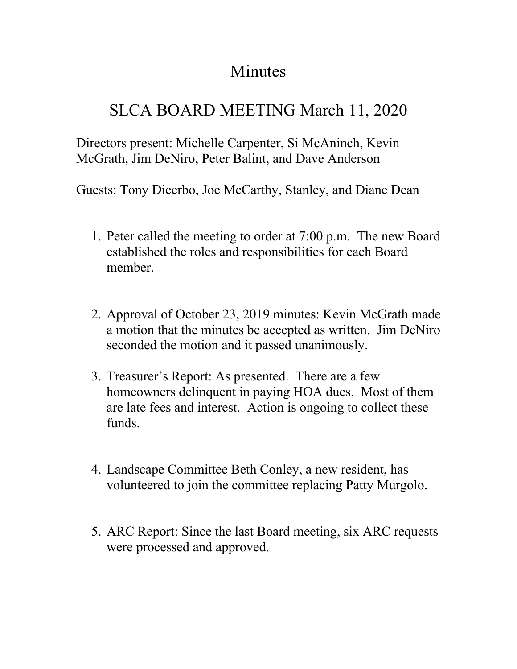## Minutes

## SLCA BOARD MEETING March 11, 2020

Directors present: Michelle Carpenter, Si McAninch, Kevin McGrath, Jim DeNiro, Peter Balint, and Dave Anderson

Guests: Tony Dicerbo, Joe McCarthy, Stanley, and Diane Dean

- 1. Peter called the meeting to order at 7:00 p.m. The new Board established the roles and responsibilities for each Board member.
- 2. Approval of October 23, 2019 minutes: Kevin McGrath made a motion that the minutes be accepted as written. Jim DeNiro seconded the motion and it passed unanimously.
- 3. Treasurer's Report: As presented. There are a few homeowners delinquent in paying HOA dues. Most of them are late fees and interest. Action is ongoing to collect these funds.
- 4. Landscape Committee Beth Conley, a new resident, has volunteered to join the committee replacing Patty Murgolo.
- 5. ARC Report: Since the last Board meeting, six ARC requests were processed and approved.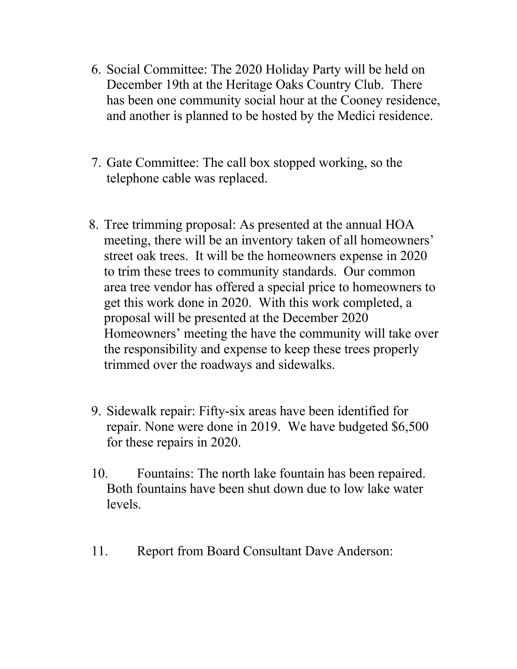- 6. Social Committee: The 2020 Holiday Party will be held on December 19th at the Heritage Oaks Country Club. There has been one community social hour at the Cooney residence, and another is planned to be hosted by the Medici residence.
- 7. Gate Committee: The call box stopped working, so the telephone cable was replaced.
- 8. Tree trimming proposal: As presented at the annual HOA meeting, there will be an inventory taken of all homeowners' street oak trees. It will be the homeowners expense in 2020 to trim these trees to community standards. Our common area tree vendor has offered a special price to homeowners to get this work done in 2020. With this work completed, a proposal will be presented at the December 2020 Homeowners' meeting the have the community will take over the responsibility and expense to keep these trees properly trimmed over the roadways and sidewalks.
- 9. Sidewalk repair: Fifty-six areas have been identified for repair. None were done in 2019. We have budgeted \$6,500 for these repairs in 2020.
- 10. Fountains: The north lake fountain has been repaired. Both fountains have been shut down due to low lake water levels.
- 11. Report from Board Consultant Dave Anderson: